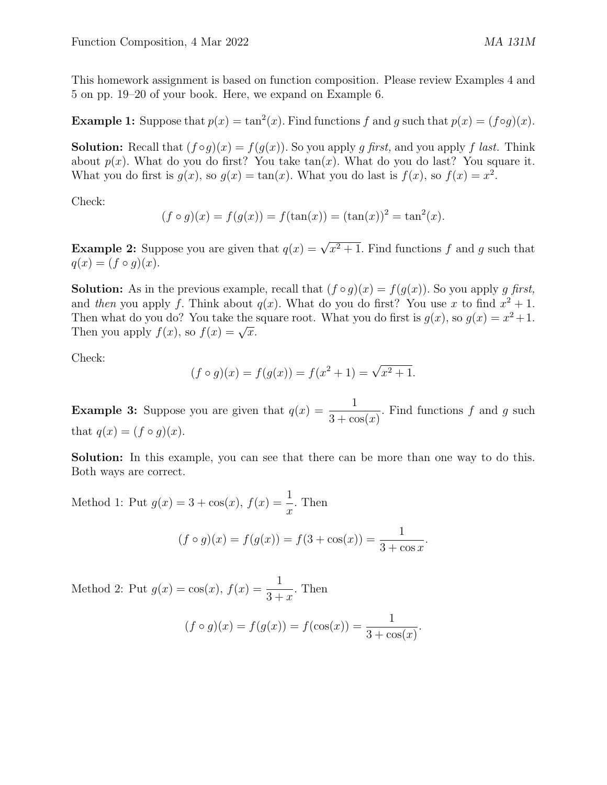This homework assignment is based on function composition. Please review Examples 4 and 5 on pp. 19–20 of your book. Here, we expand on Example 6.

**Example 1:** Suppose that  $p(x) = \tan^2(x)$ . Find functions f and g such that  $p(x) = (f \circ g)(x)$ .

**Solution:** Recall that  $(f \circ g)(x) = f(g(x))$ . So you apply g first, and you apply f last. Think about  $p(x)$ . What do you do first? You take  $tan(x)$ . What do you do last? You square it. What you do first is  $g(x)$ , so  $g(x) = \tan(x)$ . What you do last is  $f(x)$ , so  $f(x) = x^2$ .

Check:

$$
(f \circ g)(x) = f(g(x)) = f(\tan(x)) = (\tan(x))^2 = \tan^2(x).
$$

**Example 2:** Suppose you are given that  $q(x) = \sqrt{x^2 + 1}$ . Find functions f and g such that  $q(x) = (f \circ q)(x).$ 

**Solution:** As in the previous example, recall that  $(f \circ g)(x) = f(g(x))$ . So you apply g first, and then you apply f. Think about  $q(x)$ . What do you do first? You use x to find  $x^2 + 1$ . Then what do you do? You take the square root. What you do first is  $g(x)$ , so  $g(x) = x^2 + 1$ . Then you apply  $f(x)$ , so  $f(x) = \sqrt{x}$ .

Check:

$$
(f \circ g)(x) = f(g(x)) = f(x^2 + 1) = \sqrt{x^2 + 1}.
$$

**Example 3:** Suppose you are given that  $q(x) = \frac{1}{2^{x}}$  $3 + \cos(x)$ . Find functions  $f$  and  $g$  such that  $q(x) = (f \circ q)(x)$ .

Solution: In this example, you can see that there can be more than one way to do this. Both ways are correct.

Method 1: Put  $g(x) = 3 + \cos(x)$ ,  $f(x) = \frac{1}{x}$  $\overline{x}$ . Then

$$
(f \circ g)(x) = f(g(x)) = f(3 + \cos(x)) = \frac{1}{3 + \cos x}.
$$

Method 2: Put  $g(x) = \cos(x), f(x) = \frac{1}{2}$  $3 + x$ . Then

$$
(f \circ g)(x) = f(g(x)) = f(\cos(x)) = \frac{1}{3 + \cos(x)}.
$$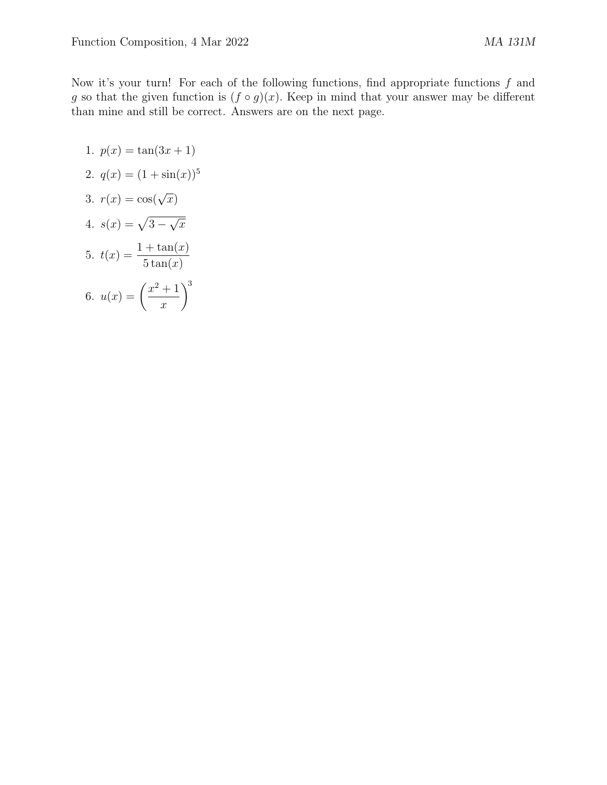Now it's your turn! For each of the following functions, find appropriate functions  $f$  and g so that the given function is  $(f \circ g)(x)$ . Keep in mind that your answer may be different than mine and still be correct. Answers are on the next page.

1. 
$$
p(x) = \tan(3x + 1)
$$
  
\n2.  $q(x) = (1 + \sin(x))^5$   
\n3.  $r(x) = \cos(\sqrt{x})$   
\n4.  $s(x) = \sqrt{3 - \sqrt{x}}$   
\n5.  $t(x) = \frac{1 + \tan(x)}{5 \tan(x)}$   
\n6.  $u(x) = \left(\frac{x^2 + 1}{x}\right)^3$